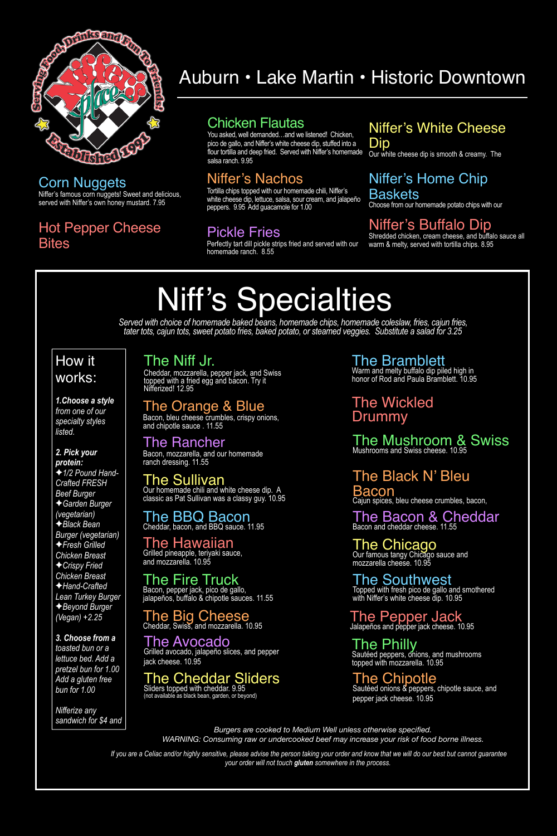

### Corn Nuggets

### Hot Pepper Cheese **Bites**

Niffer's famous corn nuggets! Sweet and delicious, served with Niffer's own honey mustard. 7.95

### Chicken Flautas

You asked, well demanded…and we listened! Chicken, pico de gallo, and Niffer's white cheese dip, stuffed into a flour tortilla and deep fried. Served with Niffer's homemade salsa ranch. 9.95

### Niffer's Buffalo Dip

Shredded chicken, cream cheese, and buffalo sauce all warm & melty, served with tortilla chips. 8.95

### Niffer's Nachos

### How it works:

Tortilla chips topped with our homemade chili, Niffer's white cheese dip, lettuce, salsa, sour cream, and jalapeño peppers. 9.95 Add guacamole for 1.00

### Niffer's White Cheese Dip

Our white cheese dip is smooth & creamy. The

### Niffer's Home Chip Baskets

Choose from our homemade potato chips with our

### Pickle Fries

Perfectly tart dill pickle strips fried and served with our homemade ranch. 8.55

### Auburn • Lake Martin • Historic Downtown

*Burgers are cooked to Medium Well unless otherwise specified. WARNING: Consuming raw or undercooked beef may increase your risk of food borne illness.*

# Niff's Specialties

*1.Choose a style from one of our specialty styles listed.* 

#### *2. Pick your protein:*

✦*1/2 Pound Hand-Crafted FRESH Beef Burger*  ✦*Garden Burger (vegetarian)*  ✦*Black Bean Burger (vegetarian)*  ✦*Fresh Grilled Chicken Breast*  ✦*Crispy Fried Chicken Breast* 

✦*Hand-Crafted Lean Turkey Burger*  ✦*Beyond Burger (Vegan) +2.25* 

*3. Choose from a toasted bun or a lettuce bed. Add a pretzel bun for 1.00 Add a gluten free bun for 1.00* 

*Nifferize any sandwich for \$4 and* 

> *If you are a Celiac and/or highly sensitive, please advise the person taking your order and know that we will do our best but cannot guarantee your order will not touch gluten somewhere in the process.*

*Served with choice of homemade baked beans, homemade chips, homemade coleslaw, fries, cajun fries, tater tots, cajun tots, sweet potato fries, baked potato, or steamed veggies. Substitute a salad for 3.25*

### The Bramblett

Warm and melty buffalo dip piled high in honor of Rod and Paula Bramblett. 10.95

The Black N' Bleu Bacon Cajun spices, bleu cheese crumbles, bacon,

The Pepper Jack Jalapeños and pepper jack cheese. 10.95

### The Rancher

Bacon, mozzarella, and our homemade ranch dressing. 11.55

### The Southwest

Topped with fresh pico de gallo and smothered

with Niffer's white cheese dip. 10.95

#### The Sullivan Our homemade chili and white cheese dip. A classic as Pat Sullivan was a classy guy. 10.95

The Big Cheese Cheddar, Swiss, and mozzarella. 10.95

### The Niff Jr.

Cheddar, mozzarella, pepper jack, and Swiss topped with a fried egg and bacon. Try it Nifferized! 12.95

#### The Mushroom & Swiss Mushrooms and Swiss cheese. 10.95

The Avocado Grilled avocado, jalapeño slices, and pepper jack cheese. 10.95

The Cheddar Sliders

Sliders topped with cheddar. 9.95 (not available as black bean, garden, or beyond) The Philly Sautéed peppers, onions, and mushrooms topped with mozzarella. 10.95

The BBQ Bacon Cheddar, bacon, and BBQ sauce. 11.95

### The Wickled Drummy

The Chicago Our famous tangy Chicago sauce and mozzarella cheese. 10.95

The Fire Truck Bacon, pepper jack, pico de gallo, jalapeños, buffalo & chipotle sauces. 11.55

### The Hawaiian

Grilled pineapple, teriyaki sauce, and mozzarella. 10.95

The Chipotle Sautéed onions & peppers, chipotle sauce, and pepper jack cheese. 10.95

The Bacon & Cheddar Bacon and cheddar cheese. 11.55

### The Orange & Blue

Bacon, bleu cheese crumbles, crispy onions, and chipotle sauce . 11.55